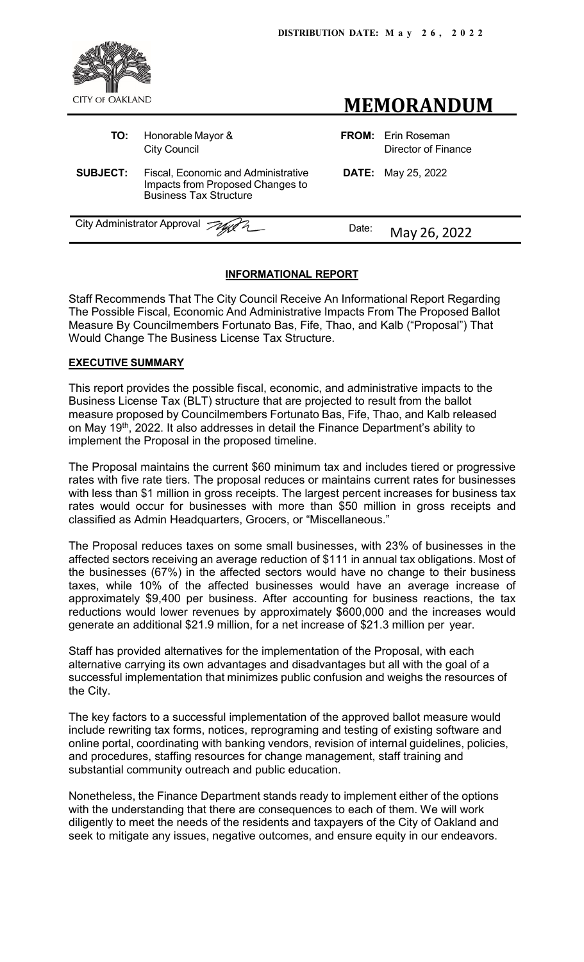



| TO:             | Honorable Mayor &<br><b>City Council</b>                                                                 |       | <b>FROM:</b> Erin Roseman<br><b>Director of Finance</b> |
|-----------------|----------------------------------------------------------------------------------------------------------|-------|---------------------------------------------------------|
| <b>SUBJECT:</b> | Fiscal, Economic and Administrative<br>Impacts from Proposed Changes to<br><b>Business Tax Structure</b> |       | <b>DATE:</b> May 25, 2022                               |
|                 | City Administrator Approval Agent 2                                                                      | Date: | May 26, 2022                                            |
|                 |                                                                                                          |       |                                                         |

# **INFORMATIONAL REPORT**

Staff Recommends That The City Council Receive An Informational Report Regarding The Possible Fiscal, Economic And Administrative Impacts From The Proposed Ballot Measure By Councilmembers Fortunato Bas, Fife, Thao, and Kalb ("Proposal") That Would Change The Business License Tax Structure.

## **EXECUTIVE SUMMARY**

This report provides the possible fiscal, economic, and administrative impacts to the Business License Tax (BLT) structure that are projected to result from the ballot measure proposed by Councilmembers Fortunato Bas, Fife, Thao, and Kalb released on May 19th, 2022. It also addresses in detail the Finance Department's ability to implement the Proposal in the proposed timeline.

The Proposal maintains the current \$60 minimum tax and includes tiered or progressive rates with five rate tiers. The proposal reduces or maintains current rates for businesses with less than \$1 million in gross receipts. The largest percent increases for business tax rates would occur for businesses with more than \$50 million in gross receipts and classified as Admin Headquarters, Grocers, or "Miscellaneous."

The Proposal reduces taxes on some small businesses, with 23% of businesses in the affected sectors receiving an average reduction of \$111 in annual tax obligations. Most of the businesses (67%) in the affected sectors would have no change to their business taxes, while 10% of the affected businesses would have an average increase of approximately \$9,400 per business. After accounting for business reactions, the tax reductions would lower revenues by approximately \$600,000 and the increases would generate an additional \$21.9 million, for a net increase of \$21.3 million per year.

Staff has provided alternatives for the implementation of the Proposal, with each alternative carrying its own advantages and disadvantages but all with the goal of a successful implementation that minimizes public confusion and weighs the resources of the City.

The key factors to a successful implementation of the approved ballot measure would include rewriting tax forms, notices, reprograming and testing of existing software and online portal, coordinating with banking vendors, revision of internal guidelines, policies, and procedures, staffing resources for change management, staff training and substantial community outreach and public education.

Nonetheless, the Finance Department stands ready to implement either of the options with the understanding that there are consequences to each of them. We will work diligently to meet the needs of the residents and taxpayers of the City of Oakland and seek to mitigate any issues, negative outcomes, and ensure equity in our endeavors.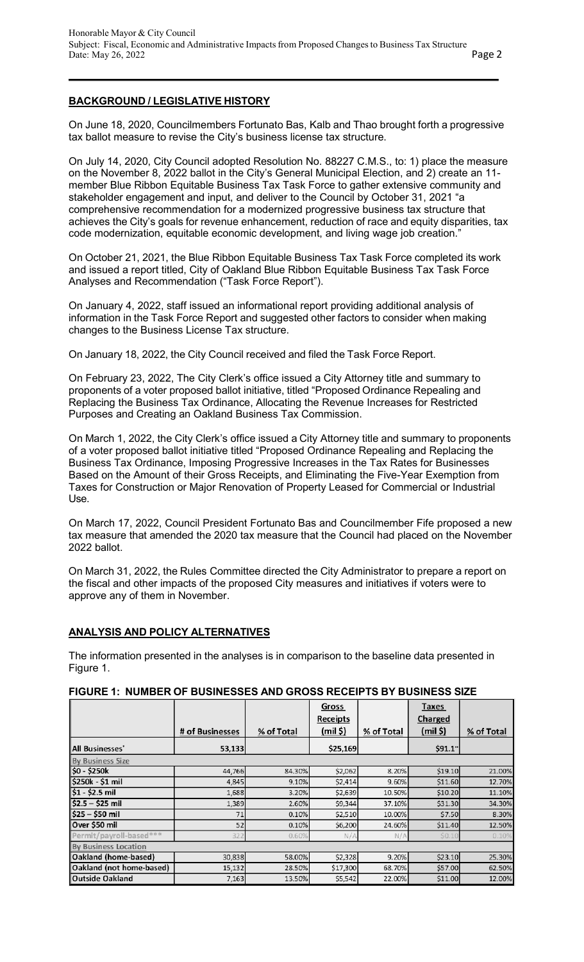# **BACKGROUND / LEGISLATIVE HISTORY**

On June 18, 2020, Councilmembers Fortunato Bas, Kalb and Thao brought forth a progressive tax ballot measure to revise the City's business license tax structure.

On July 14, 2020, City Council adopted Resolution No. 88227 C.M.S., to: 1) place the measure on the November 8, 2022 ballot in the City's General Municipal Election, and 2) create an 11 member Blue Ribbon Equitable Business Tax Task Force to gather extensive community and stakeholder engagement and input, and deliver to the Council by October 31, 2021 "a comprehensive recommendation for a modernized progressive business tax structure that achieves the City's goals for revenue enhancement, reduction of race and equity disparities, tax code modernization, equitable economic development, and living wage job creation."

On October 21, 2021, the Blue Ribbon Equitable Business Tax Task Force completed its work and issued a report titled, City of Oakland Blue Ribbon Equitable Business Tax Task Force Analyses and Recommendation ("Task Force Report").

On January 4, 2022, staff issued an informational report providing additional analysis of information in the Task Force Report and suggested other factors to consider when making changes to the Business License Tax structure.

On January 18, 2022, the City Council received and filed the Task Force Report.

On February 23, 2022, The City Clerk's office issued a City Attorney title and summary to proponents of a voter proposed ballot initiative, titled "Proposed Ordinance Repealing and Replacing the Business Tax Ordinance, Allocating the Revenue Increases for Restricted Purposes and Creating an Oakland Business Tax Commission.

On March 1, 2022, the City Clerk's office issued a City Attorney title and summary to proponents of a voter proposed ballot initiative titled "Proposed Ordinance Repealing and Replacing the Business Tax Ordinance, Imposing Progressive Increases in the Tax Rates for Businesses Based on the Amount of their Gross Receipts, and Eliminating the Five-Year Exemption from Taxes for Construction or Major Renovation of Property Leased for Commercial or Industrial Use.

On March 17, 2022, Council President Fortunato Bas and Councilmember Fife proposed a new tax measure that amended the 2020 tax measure that the Council had placed on the November 2022 ballot.

On March 31, 2022, the Rules Committee directed the City Administrator to prepare a report on the fiscal and other impacts of the proposed City measures and initiatives if voters were to approve any of them in November.

## **ANALYSIS AND POLICY ALTERNATIVES**

The information presented in the analyses is in comparison to the baseline data presented in Figure 1.

|                             |                 |            | Gross      |            | Taxes          |            |  |  |
|-----------------------------|-----------------|------------|------------|------------|----------------|------------|--|--|
|                             |                 |            | Receipts   |            | <b>Charged</b> |            |  |  |
|                             | # of Businesses | % of Total | $(mil$ \$) | % of Total | $(mil$ \$)     | % of Total |  |  |
| <b>All Businesses</b> '     | 53,133          |            | \$25,169   |            | \$91.1"        |            |  |  |
| <b>By Business Size</b>     |                 |            |            |            |                |            |  |  |
| \$0 - \$250k                | 44,766          | 84.30%     | \$2,062    | 8.20%      | \$19.10        | 21.00%     |  |  |
| \$250k - \$1 mil            | 4,845           | 9.10%      | \$2,414    | 9.60%      | \$11.60        | 12.70%     |  |  |
| $$1 - $2.5$ mil             | 1,688           | 3.20%      | \$2,639    | 10.50%     | \$10.20        | 11.10%     |  |  |
| $$2.5 - $25$ mil            | 1,389           | 2.60%      | \$9,344    | 37.10%     | \$31.30        | 34.30%     |  |  |
| $$25 - $50$ mil             | 71              | 0.10%      | \$2,510    | 10.00%     | \$7.50         | 8.30%      |  |  |
| Over \$50 mil               | 52              | 0.10%      | \$6,200    | 24.60%     | \$11.40        | 12.50%     |  |  |
| Permit/payroll-based***     | 322             | 0.60%      | N/A        | N/A        | \$0.10         | 0.10%      |  |  |
| <b>By Business Location</b> |                 |            |            |            |                |            |  |  |
| Oakland (home-based)        | 30,838          | 58.00%     | \$2,328    | 9.20%      | \$23.10        | 25.30%     |  |  |
| Oakland (not home-based)    | 15,132          | 28.50%     | \$17,300   | 68.70%     | \$57.00        | 62.50%     |  |  |
| <b>Outside Oakland</b>      | 7,163           | 13.50%     | \$5,542    | 22.00%     | \$11.00        | 12.00%     |  |  |

## **FIGURE 1: NUMBER OF BUSINESSES AND GROSS RECEIPTS BY BUSINESS SIZE**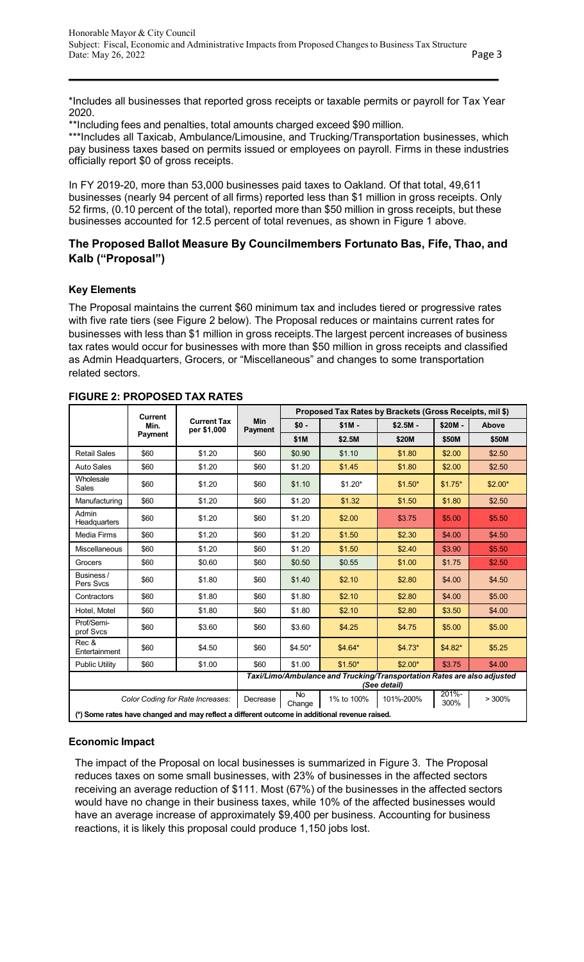<span id="page-2-0"></span>\*Includes all businesses that reported gross receipts or taxable permits or payroll for Tax Year 2020.

\*\*Including fees and penalties, total amounts charged exceed \$90 million.

\*\*\*Includes all Taxicab, Ambulance/Limousine, and Trucking/Transportation businesses, which pay business taxes based on permits issued or employees on payroll. Firms in these industries officially report \$0 of gross receipts.

In FY 2019-20, more than 53,000 businesses paid taxes to Oakland. Of that total, 49,611 businesses (nearly 94 percent of all firms) reported less than \$1 million in gross receipts. Only 52 firms, (0.10 percent of the total), reported more than \$50 million in gross receipts, but these businesses accounted for 12.5 percent of total revenues, as shown in Figure 1 above.

# **The Proposed Ballot Measure By Councilmembers Fortunato Bas, Fife, Thao, and Kalb ("Proposal")**

# **Key Elements**

The Proposal maintains the current \$60 minimum tax and includes tiered or progressive rates with five rate tiers (see [Figur](#page-2-0)[e 2 b](#page-2-1)elow). The Proposal reduces or maintains current rates for businesses with less than \$1 million in gross receipts.The largest percent increases of business tax rates would occur for businesses with more than \$50 million in gross receipts and classified as Admin Headquarters, Grocers, or "Miscellaneous" and changes to some transportation related sectors.

|                                                                                               | <b>Current</b>                                                                                                           |                                   |                       | Proposed Tax Rates by Brackets (Gross Receipts, mil \$) |          |           |          |          |
|-----------------------------------------------------------------------------------------------|--------------------------------------------------------------------------------------------------------------------------|-----------------------------------|-----------------------|---------------------------------------------------------|----------|-----------|----------|----------|
|                                                                                               | Min.                                                                                                                     | <b>Current Tax</b><br>per \$1,000 | <b>Min</b><br>Payment | $$0 -$                                                  | $$1M -$  | $$2.5M -$ | \$20M -  | Above    |
|                                                                                               | Payment                                                                                                                  |                                   |                       | \$1M                                                    | \$2.5M   | \$20M     | \$50M    | \$50M    |
| <b>Retail Sales</b>                                                                           | \$60                                                                                                                     | \$1.20                            | \$60                  | \$0.90                                                  | \$1.10   | \$1.80    | \$2.00   | \$2.50   |
| Auto Sales                                                                                    | \$60                                                                                                                     | \$1.20                            | \$60                  | \$1.20                                                  | \$1.45   | \$1.80    | \$2.00   | \$2.50   |
| Wholesale<br>Sales                                                                            | \$60                                                                                                                     | \$1.20                            | \$60                  | \$1.10                                                  | $$1.20*$ | $$1.50*$  | $$1.75*$ | $$2.00*$ |
| Manufacturing                                                                                 | \$60                                                                                                                     | \$1.20                            | \$60                  | \$1.20                                                  | \$1.32   | \$1.50    | \$1.80   | \$2.50   |
| Admin<br><b>Headquarters</b>                                                                  | \$60                                                                                                                     | \$1.20                            | \$60                  | \$1.20                                                  | \$2.00   | \$3.75    | \$5.00   | \$5.50   |
| <b>Media Firms</b>                                                                            | \$60                                                                                                                     | \$1.20                            | \$60                  | \$1.20                                                  | \$1.50   | \$2.30    | \$4.00   | \$4.50   |
| Miscellaneous                                                                                 | \$60                                                                                                                     | \$1.20                            | \$60                  | \$1.20                                                  | \$1.50   | \$2.40    | \$3.90   | \$5.50   |
| Grocers                                                                                       | \$60                                                                                                                     | \$0.60                            | \$60                  | \$0.50                                                  | \$0.55   | \$1.00    | \$1.75   | \$2.50   |
| Business /<br>Pers Svcs                                                                       | \$60                                                                                                                     | \$1.80                            | \$60                  | \$1.40                                                  | \$2.10   | \$2.80    | \$4.00   | \$4.50   |
| Contractors                                                                                   | \$60                                                                                                                     | \$1.80                            | \$60                  | \$1.80                                                  | \$2.10   | \$2.80    | \$4.00   | \$5.00   |
| Hotel. Motel                                                                                  | \$60                                                                                                                     | \$1.80                            | \$60                  | \$1.80                                                  | \$2.10   | \$2.80    | \$3.50   | \$4.00   |
| Prof/Semi-<br>prof Svcs                                                                       | \$60                                                                                                                     | \$3.60                            | \$60                  | \$3.60                                                  | \$4.25   | \$4.75    | \$5.00   | \$5.00   |
| Rec &<br>Entertainment                                                                        | \$60                                                                                                                     | \$4.50                            | \$60                  | $$4.50*$                                                | \$4.64*  | \$4.73*   | \$4.82*  | \$5.25   |
| <b>Public Utility</b>                                                                         | \$60                                                                                                                     | \$1.00                            | \$60                  | \$1.00                                                  | $$1.50*$ | $$2.00*$  | \$3.75   | \$4.00   |
|                                                                                               | Taxi/Limo/Ambulance and Trucking/Transportation Rates are also adjusted<br>(See detail)                                  |                                   |                       |                                                         |          |           |          |          |
|                                                                                               | 201%-<br><b>No</b><br>101%-200%<br>>300%<br>1% to 100%<br>Color Coding for Rate Increases:<br>Decrease<br>300%<br>Change |                                   |                       |                                                         |          |           |          |          |
| (*) Some rates have changed and may reflect a different outcome in additional revenue raised. |                                                                                                                          |                                   |                       |                                                         |          |           |          |          |

# <span id="page-2-1"></span>**FIGURE 2: PROPOSED TAX RATES**

# **Economic Impact**

The impact of the Proposal on local businesses is summarized in [Figure 3.](#page-3-0) The Proposal reduces taxes on some small businesses, with 23% of businesses in the affected sectors receiving an average reduction of \$111. Most (67%) of the businesses in the affected sectors would have no change in their business taxes, while 10% of the affected businesses would have an average increase of approximately \$9,400 per business. Accounting for business reactions, it is likely this proposal could produce 1,150 jobs lost.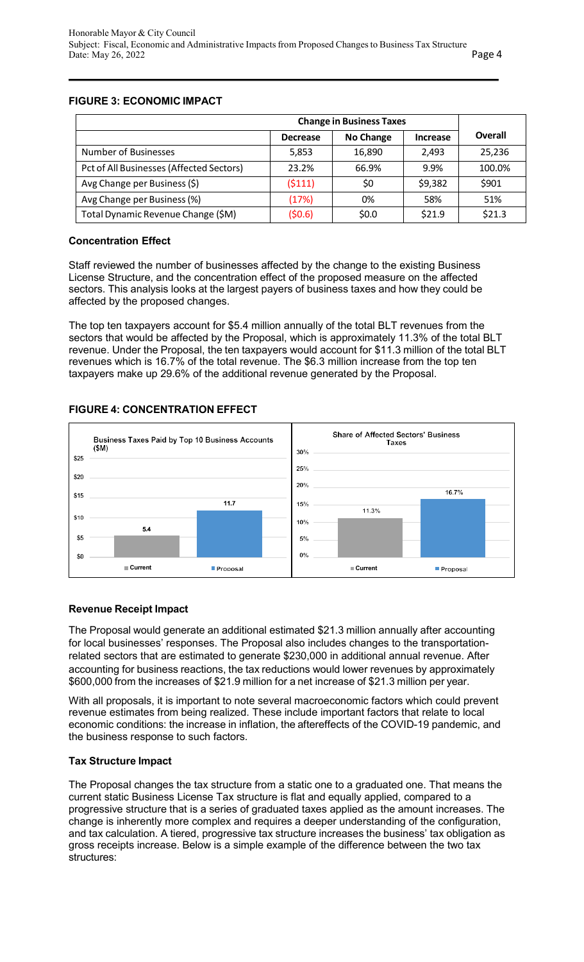# <span id="page-3-0"></span>**FIGURE 3: ECONOMIC IMPACT**

|                                          | <b>Change in Business Taxes</b> |           |                 |         |  |  |
|------------------------------------------|---------------------------------|-----------|-----------------|---------|--|--|
|                                          | <b>Decrease</b>                 | No Change | <b>Increase</b> | Overall |  |  |
| Number of Businesses                     | 5,853                           | 16,890    | 2.493           | 25,236  |  |  |
| Pct of All Businesses (Affected Sectors) | 23.2%                           | 66.9%     | 9.9%            | 100.0%  |  |  |
| Avg Change per Business (\$)             | (5111)                          | \$0       | \$9,382         | \$901   |  |  |
| Avg Change per Business (%)              | (17%)                           | 0%        | 58%             | 51%     |  |  |
| Total Dynamic Revenue Change (\$M)       | (50.6)                          | \$0.0     | \$21.9          | \$21.3  |  |  |

## **Concentration Effect**

Staff reviewed the number of businesses affected by the change to the existing Business License Structure, and the concentration effect of the proposed measure on the affected sectors. This analysis looks at the largest payers of business taxes and how they could be affected by the proposed changes.

The top ten taxpayers account for \$5.4 million annually of the total BLT revenues from the sectors that would be affected by the Proposal, which is approximately 11.3% of the total BLT revenue. Under the Proposal, the ten taxpayers would account for \$11.3 million of the total BLT revenues which is 16.7% of the total revenue. The \$6.3 million increase from the top ten taxpayers make up 29.6% of the additional revenue generated by the Proposal.

# **FIGURE 4: CONCENTRATION EFFECT**



# **Revenue Receipt Impact**

The Proposal would generate an additional estimated \$21.3 million annually after accounting for local businesses' responses. The Proposal also includes changes to the transportationrelated sectors that are estimated to generate \$230,000 in additional annual revenue. After accounting for business reactions, the tax reductions would lower revenues by approximately \$600,000 from the increases of \$21.9 million for a net increase of \$21.3 million per year.

With all proposals, it is important to note several macroeconomic factors which could prevent revenue estimates from being realized. These include important factors that relate to local economic conditions: the increase in inflation, the aftereffects of the COVID-19 pandemic, and the business response to such factors.

## **Tax Structure Impact**

The Proposal changes the tax structure from a static one to a graduated one. That means the current static Business License Tax structure is flat and equally applied, compared to a progressive structure that is a series of graduated taxes applied as the amount increases. The change is inherently more complex and requires a deeper understanding of the configuration, and tax calculation. A tiered, progressive tax structure increases the business' tax obligation as gross receipts increase. Below is a simple example of the difference between the two tax structures: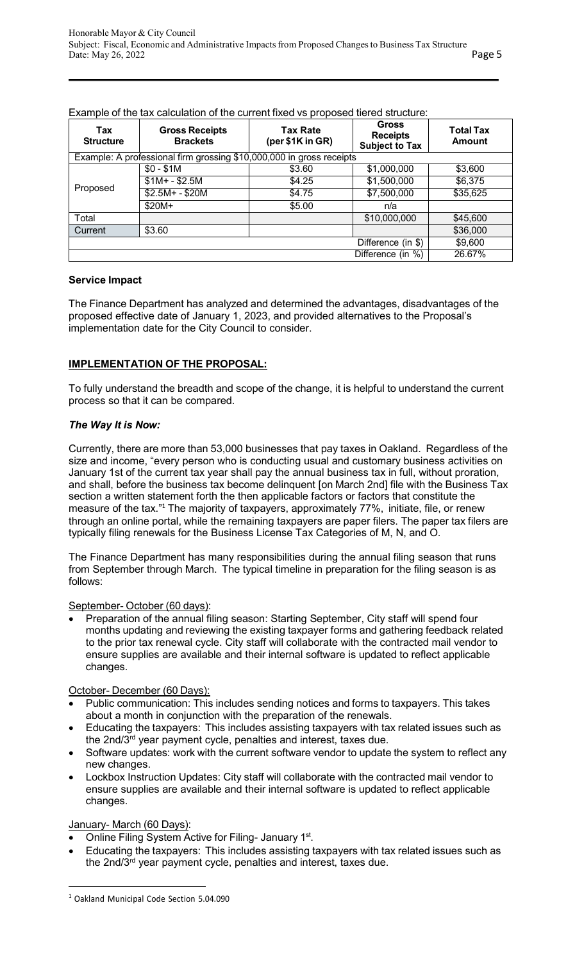| Tax<br><b>Structure</b> | <b>Gross Receipts</b><br><b>Brackets</b>                             | <b>Tax Rate</b><br>(per \$1K in GR) | <b>Gross</b><br><b>Receipts</b><br><b>Subject to Tax</b> | <b>Total Tax</b><br><b>Amount</b> |
|-------------------------|----------------------------------------------------------------------|-------------------------------------|----------------------------------------------------------|-----------------------------------|
|                         | Example: A professional firm grossing \$10,000,000 in gross receipts |                                     |                                                          |                                   |
|                         | $$0 - $1M$$                                                          | \$3.60                              | \$1,000,000                                              | \$3,600                           |
| Proposed                | $$1M + - $2.5M$                                                      | \$4.25                              | \$1,500,000                                              | \$6,375                           |
|                         | $$2.5M + - $20M$                                                     | \$4.75                              | \$7,500,000                                              | \$35,625                          |
|                         | $$20M+$                                                              | \$5.00                              | n/a                                                      |                                   |
| Total                   |                                                                      |                                     | \$10,000,000                                             | \$45,600                          |
| Current                 | \$3.60                                                               |                                     |                                                          | \$36,000                          |
|                         |                                                                      |                                     | Difference (in \$)                                       | \$9,600                           |
|                         |                                                                      |                                     | Difference (in %)                                        | 26.67%                            |

<span id="page-4-0"></span>Example of the tax calculation of the current fixed vs proposed tiered structure:

#### **Service Impact**

The Finance Department has analyzed and determined the advantages, disadvantages of the proposed effective date of January 1, 2023, and provided alternatives to the Proposal's implementation date for the City Council to consider.

# **IMPLEMENTATION OF THE PROPOSAL:**

To fully understand the breadth and scope of the change, it is helpful to understand the current process so that it can be compared.

#### *The Way It is Now:*

Currently, there are more than 53,000 businesses that pay taxes in Oakland. Regardless of the size and income, "every person who is conducting usual and customary business activities on January 1st of the current tax year shall pay the annual business tax in full, without proration, and shall, before the business tax become delinquent [on March 2nd] file with the Business Tax section a written statement forth the then applicable factors or factors that constitute the measure of the tax."[1](#page-4-0) The majority of taxpayers, approximately 77%, initiate, file, or renew through an online portal, while the remaining taxpayers are paper filers. The paper tax filers are typically filing renewals for the Business License Tax Categories of M, N, and O.

The Finance Department has many responsibilities during the annual filing season that runs from September through March. The typical timeline in preparation for the filing season is as follows:

## September- October (60 days):

• Preparation of the annual filing season: Starting September, City staff will spend four months updating and reviewing the existing taxpayer forms and gathering feedback related to the prior tax renewal cycle. City staff will collaborate with the contracted mail vendor to ensure supplies are available and their internal software is updated to reflect applicable changes.

October- December (60 Days):

- Public communication: This includes sending notices and forms to taxpayers. This takes about a month in conjunction with the preparation of the renewals.
- Educating the taxpayers: This includes assisting taxpayers with tax related issues such as the 2nd/3rd year payment cycle, penalties and interest, taxes due.
- Software updates: work with the current software vendor to update the system to reflect any new changes.
- Lockbox Instruction Updates: City staff will collaborate with the contracted mail vendor to ensure supplies are available and their internal software is updated to reflect applicable changes.

## January- March (60 Days):

- Online Filing System Active for Filing- January 1st.
- Educating the taxpayers: This includes assisting taxpayers with tax related issues such as the 2nd/3<sup>rd</sup> year payment cycle, penalties and interest, taxes due.

<sup>1</sup> Oakland Municipal Code Section 5.04.090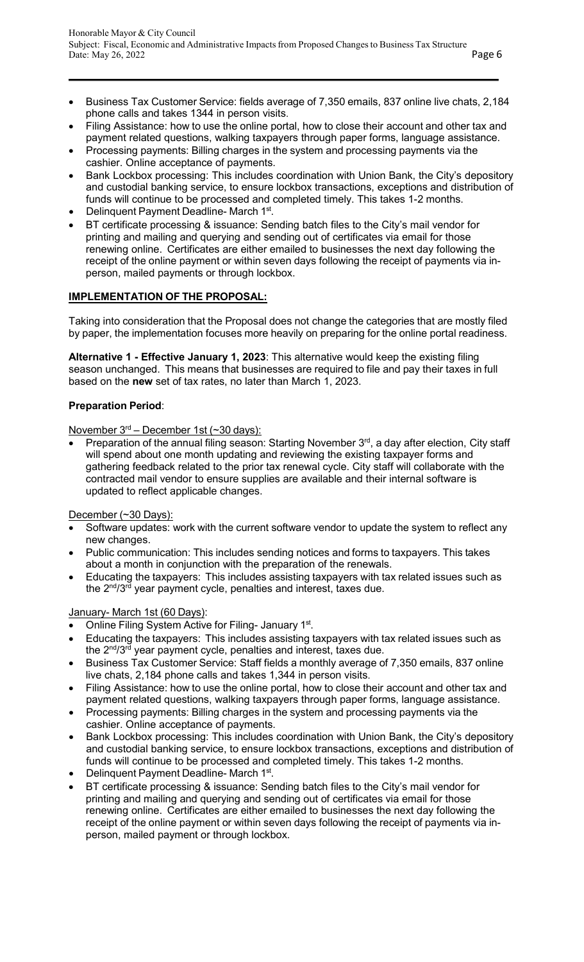- Business Tax Customer Service: fields average of 7,350 emails, 837 online live chats, 2,184 phone calls and takes 1344 in person visits.
- Filing Assistance: how to use the online portal, how to close their account and other tax and payment related questions, walking taxpayers through paper forms, language assistance.
- Processing payments: Billing charges in the system and processing payments via the cashier. Online acceptance of payments.
- Bank Lockbox processing: This includes coordination with Union Bank, the City's depository and custodial banking service, to ensure lockbox transactions, exceptions and distribution of funds will continue to be processed and completed timely. This takes 1-2 months.
- Delinquent Payment Deadline- March 1st.
- BT certificate processing & issuance: Sending batch files to the City's mail vendor for printing and mailing and querying and sending out of certificates via email for those renewing online. Certificates are either emailed to businesses the next day following the receipt of the online payment or within seven days following the receipt of payments via inperson, mailed payments or through lockbox.

# **IMPLEMENTATION OF THE PROPOSAL:**

Taking into consideration that the Proposal does not change the categories that are mostly filed by paper, the implementation focuses more heavily on preparing for the online portal readiness.

**Alternative 1 - Effective January 1, 2023**: This alternative would keep the existing filing season unchanged. This means that businesses are required to file and pay their taxes in full based on the **new** set of tax rates, no later than March 1, 2023.

# **Preparation Period**:

November 3rd – December 1st (~30 days):

Preparation of the annual filing season: Starting November 3<sup>rd</sup>, a day after election, City staff will spend about one month updating and reviewing the existing taxpayer forms and gathering feedback related to the prior tax renewal cycle. City staff will collaborate with the contracted mail vendor to ensure supplies are available and their internal software is updated to reflect applicable changes.

December (~30 Days):

- Software updates: work with the current software vendor to update the system to reflect any new changes.
- Public communication: This includes sending notices and forms to taxpayers. This takes about a month in conjunction with the preparation of the renewals.
- Educating the taxpayers: This includes assisting taxpayers with tax related issues such as the 2<sup>nd</sup>/3<sup>rd</sup> year payment cycle, penalties and interest, taxes due.

## January- March 1st (60 Days):

- Online Filing System Active for Filing- January 1st.
- Educating the taxpayers: This includes assisting taxpayers with tax related issues such as the 2<sup>nd</sup>/3<sup>rd</sup> year payment cycle, penalties and interest, taxes due.
- Business Tax Customer Service: Staff fields a monthly average of 7,350 emails, 837 online live chats, 2,184 phone calls and takes 1,344 in person visits.
- Filing Assistance: how to use the online portal, how to close their account and other tax and payment related questions, walking taxpayers through paper forms, language assistance.
- Processing payments: Billing charges in the system and processing payments via the cashier. Online acceptance of payments.
- Bank Lockbox processing: This includes coordination with Union Bank, the City's depository and custodial banking service, to ensure lockbox transactions, exceptions and distribution of funds will continue to be processed and completed timely. This takes 1-2 months.
- **Delinquent Payment Deadline- March 1st.**
- BT certificate processing & issuance: Sending batch files to the City's mail vendor for printing and mailing and querying and sending out of certificates via email for those renewing online. Certificates are either emailed to businesses the next day following the receipt of the online payment or within seven days following the receipt of payments via inperson, mailed payment or through lockbox.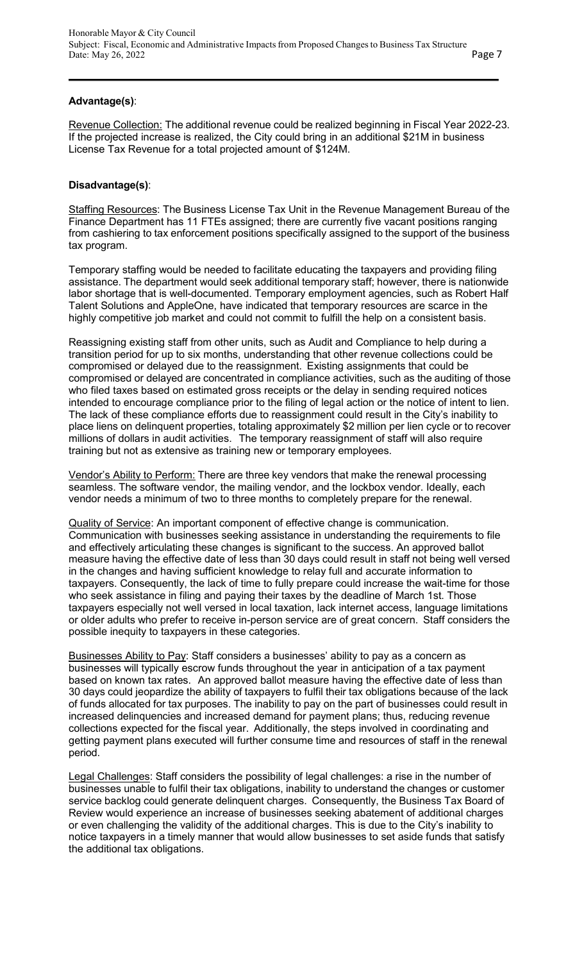#### **Advantage(s)**:

Revenue Collection: The additional revenue could be realized beginning in Fiscal Year 2022-23. If the projected increase is realized, the City could bring in an additional \$21M in business License Tax Revenue for a total projected amount of \$124M.

#### **Disadvantage(s)**:

Staffing Resources: The Business License Tax Unit in the Revenue Management Bureau of the Finance Department has 11 FTEs assigned; there are currently five vacant positions ranging from cashiering to tax enforcement positions specifically assigned to the support of the business tax program.

Temporary staffing would be needed to facilitate educating the taxpayers and providing filing assistance. The department would seek additional temporary staff; however, there is nationwide labor shortage that is well-documented. Temporary employment agencies, such as Robert Half Talent Solutions and AppleOne, have indicated that temporary resources are scarce in the highly competitive job market and could not commit to fulfill the help on a consistent basis.

Reassigning existing staff from other units, such as Audit and Compliance to help during a transition period for up to six months, understanding that other revenue collections could be compromised or delayed due to the reassignment. Existing assignments that could be compromised or delayed are concentrated in compliance activities, such as the auditing of those who filed taxes based on estimated gross receipts or the delay in sending required notices intended to encourage compliance prior to the filing of legal action or the notice of intent to lien. The lack of these compliance efforts due to reassignment could result in the City's inability to place liens on delinquent properties, totaling approximately \$2 million per lien cycle or to recover millions of dollars in audit activities. The temporary reassignment of staff will also require training but not as extensive as training new or temporary employees.

Vendor's Ability to Perform: There are three key vendors that make the renewal processing seamless. The software vendor, the mailing vendor, and the lockbox vendor. Ideally, each vendor needs a minimum of two to three months to completely prepare for the renewal.

Quality of Service: An important component of effective change is communication. Communication with businesses seeking assistance in understanding the requirements to file and effectively articulating these changes is significant to the success. An approved ballot measure having the effective date of less than 30 days could result in staff not being well versed in the changes and having sufficient knowledge to relay full and accurate information to taxpayers. Consequently, the lack of time to fully prepare could increase the wait-time for those who seek assistance in filing and paying their taxes by the deadline of March 1st. Those taxpayers especially not well versed in local taxation, lack internet access, language limitations or older adults who prefer to receive in-person service are of great concern. Staff considers the possible inequity to taxpayers in these categories.

Businesses Ability to Pay: Staff considers a businesses' ability to pay as a concern as businesses will typically escrow funds throughout the year in anticipation of a tax payment based on known tax rates. An approved ballot measure having the effective date of less than 30 days could jeopardize the ability of taxpayers to fulfil their tax obligations because of the lack of funds allocated for tax purposes. The inability to pay on the part of businesses could result in increased delinquencies and increased demand for payment plans; thus, reducing revenue collections expected for the fiscal year. Additionally, the steps involved in coordinating and getting payment plans executed will further consume time and resources of staff in the renewal period.

Legal Challenges: Staff considers the possibility of legal challenges: a rise in the number of businesses unable to fulfil their tax obligations, inability to understand the changes or customer service backlog could generate delinquent charges. Consequently, the Business Tax Board of Review would experience an increase of businesses seeking abatement of additional charges or even challenging the validity of the additional charges. This is due to the City's inability to notice taxpayers in a timely manner that would allow businesses to set aside funds that satisfy the additional tax obligations.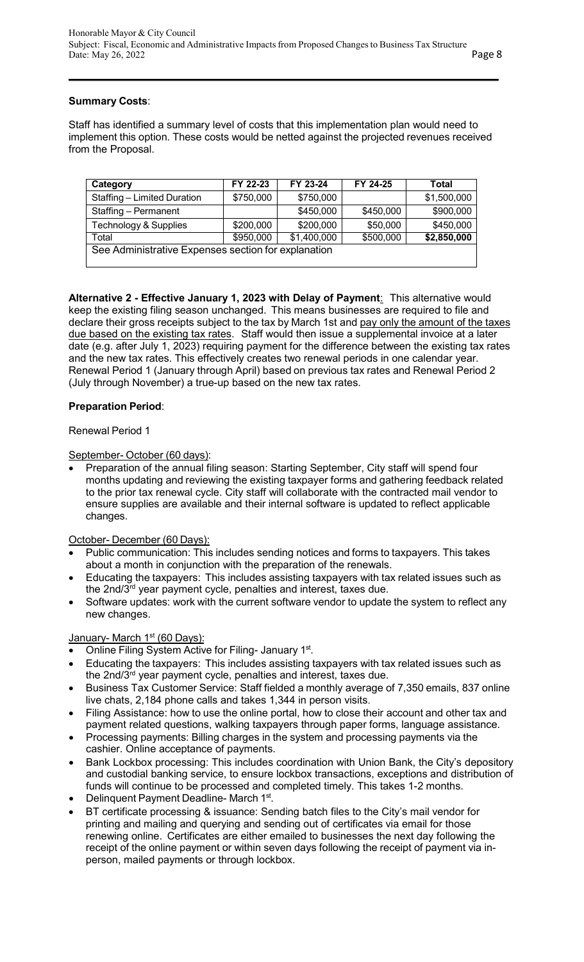## **Summary Costs**:

Staff has identified a summary level of costs that this implementation plan would need to implement this option. These costs would be netted against the projected revenues received from the Proposal.

| Category                                            | FY 22-23  | FY 23-24    | FY 24-25  | Total       |
|-----------------------------------------------------|-----------|-------------|-----------|-------------|
| Staffing - Limited Duration                         | \$750,000 | \$750,000   |           | \$1,500,000 |
| Staffing - Permanent                                |           | \$450,000   | \$450,000 | \$900,000   |
| Technology & Supplies                               | \$200,000 | \$200,000   | \$50,000  | \$450,000   |
| Total                                               | \$950,000 | \$1,400,000 | \$500,000 | \$2,850,000 |
| See Administrative Expenses section for explanation |           |             |           |             |

**Alternative 2 - Effective January 1, 2023 with Delay of Payment**: This alternative would keep the existing filing season unchanged. This means businesses are required to file and declare their gross receipts subject to the tax by March 1st and pay only the amount of the taxes due based on the existing tax rates. Staff would then issue a supplemental invoice at a later date (e.g. after July 1, 2023) requiring payment for the difference between the existing tax rates and the new tax rates. This effectively creates two renewal periods in one calendar year. Renewal Period 1 (January through April) based on previous tax rates and Renewal Period 2 (July through November) a true-up based on the new tax rates.

## **Preparation Period**:

#### Renewal Period 1

#### September- October (60 days):

• Preparation of the annual filing season: Starting September, City staff will spend four months updating and reviewing the existing taxpayer forms and gathering feedback related to the prior tax renewal cycle. City staff will collaborate with the contracted mail vendor to ensure supplies are available and their internal software is updated to reflect applicable changes.

## October- December (60 Days):

- Public communication: This includes sending notices and forms to taxpayers. This takes about a month in conjunction with the preparation of the renewals.
- Educating the taxpayers: This includes assisting taxpayers with tax related issues such as the 2nd/3<sup>rd</sup> year payment cycle, penalties and interest, taxes due.
- Software updates: work with the current software vendor to update the system to reflect any new changes.

## January- March 1<sup>st</sup> (60 Days):

- Online Filing System Active for Filing- January 1st.
- Educating the taxpayers: This includes assisting taxpayers with tax related issues such as the 2nd/3rd year payment cycle, penalties and interest, taxes due.
- Business Tax Customer Service: Staff fielded a monthly average of 7,350 emails, 837 online live chats, 2,184 phone calls and takes 1,344 in person visits.
- Filing Assistance: how to use the online portal, how to close their account and other tax and payment related questions, walking taxpayers through paper forms, language assistance.
- Processing payments: Billing charges in the system and processing payments via the cashier. Online acceptance of payments.
- Bank Lockbox processing: This includes coordination with Union Bank, the City's depository and custodial banking service, to ensure lockbox transactions, exceptions and distribution of funds will continue to be processed and completed timely. This takes 1-2 months.
- Delinquent Payment Deadline- March 1<sup>st</sup>.
- BT certificate processing & issuance: Sending batch files to the City's mail vendor for printing and mailing and querying and sending out of certificates via email for those renewing online. Certificates are either emailed to businesses the next day following the receipt of the online payment or within seven days following the receipt of payment via inperson, mailed payments or through lockbox.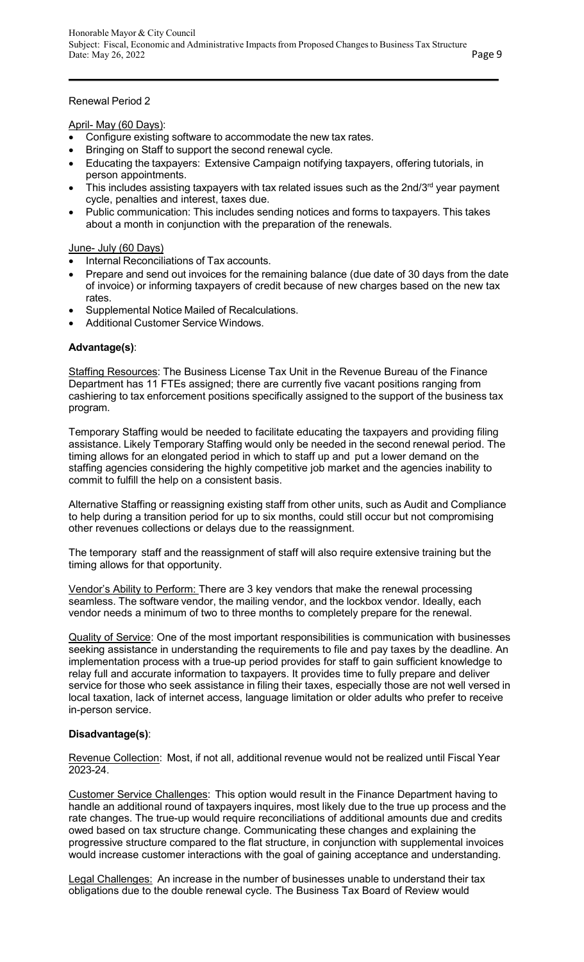#### Renewal Period 2

#### April- May (60 Days):

- Configure existing software to accommodate the new tax rates.
- Bringing on Staff to support the second renewal cycle.
- Educating the taxpayers: Extensive Campaign notifying taxpayers, offering tutorials, in person appointments.
- This includes assisting taxpayers with tax related issues such as the 2nd/3 $rd$  year payment cycle, penalties and interest, taxes due.
- Public communication: This includes sending notices and forms to taxpayers. This takes about a month in conjunction with the preparation of the renewals.

#### June- July (60 Days)

- Internal Reconciliations of Tax accounts.
- Prepare and send out invoices for the remaining balance (due date of 30 days from the date of invoice) or informing taxpayers of credit because of new charges based on the new tax rates.
- Supplemental Notice Mailed of Recalculations.
- Additional Customer Service Windows.

## **Advantage(s)**:

Staffing Resources: The Business License Tax Unit in the Revenue Bureau of the Finance Department has 11 FTEs assigned; there are currently five vacant positions ranging from cashiering to tax enforcement positions specifically assigned to the support of the business tax program.

Temporary Staffing would be needed to facilitate educating the taxpayers and providing filing assistance. Likely Temporary Staffing would only be needed in the second renewal period. The timing allows for an elongated period in which to staff up and put a lower demand on the staffing agencies considering the highly competitive job market and the agencies inability to commit to fulfill the help on a consistent basis.

Alternative Staffing or reassigning existing staff from other units, such as Audit and Compliance to help during a transition period for up to six months, could still occur but not compromising other revenues collections or delays due to the reassignment.

The temporary staff and the reassignment of staff will also require extensive training but the timing allows for that opportunity.

Vendor's Ability to Perform: There are 3 key vendors that make the renewal processing seamless. The software vendor, the mailing vendor, and the lockbox vendor. Ideally, each vendor needs a minimum of two to three months to completely prepare for the renewal.

Quality of Service: One of the most important responsibilities is communication with businesses seeking assistance in understanding the requirements to file and pay taxes by the deadline. An implementation process with a true-up period provides for staff to gain sufficient knowledge to relay full and accurate information to taxpayers. It provides time to fully prepare and deliver service for those who seek assistance in filing their taxes, especially those are not well versed in local taxation, lack of internet access, language limitation or older adults who prefer to receive in-person service.

## **Disadvantage(s)**:

Revenue Collection: Most, if not all, additional revenue would not be realized until Fiscal Year 2023-24.

Customer Service Challenges: This option would result in the Finance Department having to handle an additional round of taxpayers inquires, most likely due to the true up process and the rate changes. The true-up would require reconciliations of additional amounts due and credits owed based on tax structure change. Communicating these changes and explaining the progressive structure compared to the flat structure, in conjunction with supplemental invoices would increase customer interactions with the goal of gaining acceptance and understanding.

Legal Challenges: An increase in the number of businesses unable to understand their tax obligations due to the double renewal cycle. The Business Tax Board of Review would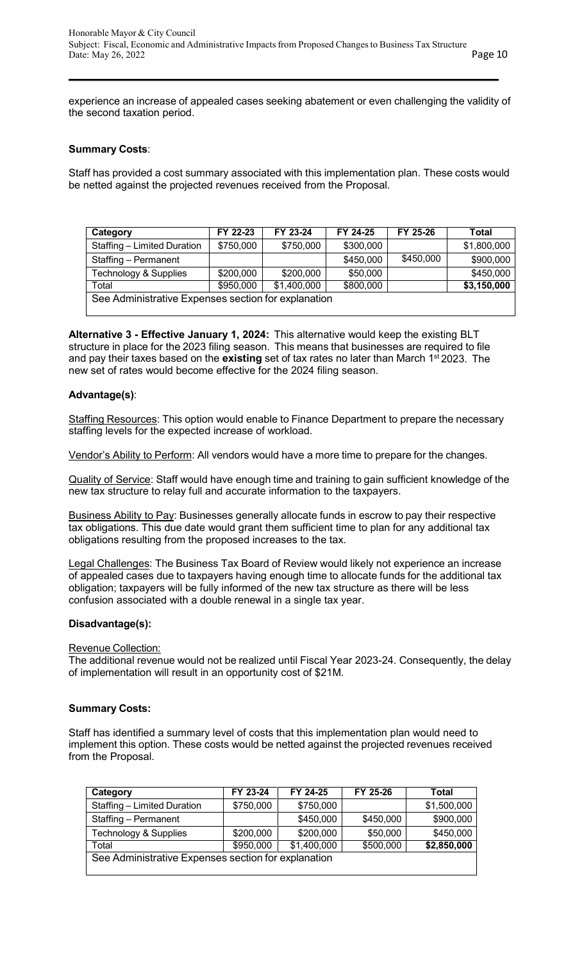experience an increase of appealed cases seeking abatement or even challenging the validity of the second taxation period.

#### **Summary Costs**:

Staff has provided a cost summary associated with this implementation plan. These costs would be netted against the projected revenues received from the Proposal.

| Category                                            | FY 22-23  | FY 23-24    | FY 24-25  | FY 25-26  | Total       |
|-----------------------------------------------------|-----------|-------------|-----------|-----------|-------------|
| Staffing - Limited Duration                         | \$750,000 | \$750,000   | \$300,000 |           | \$1,800,000 |
| Staffing - Permanent                                |           |             | \$450,000 | \$450,000 | \$900,000   |
| Technology & Supplies                               | \$200,000 | \$200,000   | \$50,000  |           | \$450,000   |
| Total                                               | \$950,000 | \$1,400,000 | \$800,000 |           | \$3,150,000 |
| See Administrative Expenses section for explanation |           |             |           |           |             |

**Alternative 3 - Effective January 1, 2024:** This alternative would keep the existing BLT structure in place for the 2023 filing season. This means that businesses are required to file and pay their taxes based on the **existing** set of tax rates no later than March 1st 2023. The new set of rates would become effective for the 2024 filing season.

#### **Advantage(s)**:

Staffing Resources: This option would enable to Finance Department to prepare the necessary staffing levels for the expected increase of workload.

Vendor's Ability to Perform: All vendors would have a more time to prepare for the changes.

Quality of Service: Staff would have enough time and training to gain sufficient knowledge of the new tax structure to relay full and accurate information to the taxpayers.

Business Ability to Pay: Businesses generally allocate funds in escrow to pay their respective tax obligations. This due date would grant them sufficient time to plan for any additional tax obligations resulting from the proposed increases to the tax.

Legal Challenges: The Business Tax Board of Review would likely not experience an increase of appealed cases due to taxpayers having enough time to allocate funds for the additional tax obligation; taxpayers will be fully informed of the new tax structure as there will be less confusion associated with a double renewal in a single tax year.

#### **Disadvantage(s):**

Revenue Collection:

The additional revenue would not be realized until Fiscal Year 2023-24. Consequently, the delay of implementation will result in an opportunity cost of \$21M.

#### **Summary Costs:**

Staff has identified a summary level of costs that this implementation plan would need to implement this option. These costs would be netted against the projected revenues received from the Proposal.

| Category                    | FY 23-24                                            | FY 24-25    | FY 25-26  | Total       |  |  |  |  |  |
|-----------------------------|-----------------------------------------------------|-------------|-----------|-------------|--|--|--|--|--|
| Staffing - Limited Duration | \$750,000                                           | \$750,000   |           | \$1,500,000 |  |  |  |  |  |
| Staffing - Permanent        |                                                     | \$450,000   | \$450,000 | \$900,000   |  |  |  |  |  |
| Technology & Supplies       | \$200,000                                           | \$200,000   | \$50,000  | \$450,000   |  |  |  |  |  |
| Total                       | \$950,000                                           | \$1,400,000 | \$500,000 | \$2,850,000 |  |  |  |  |  |
|                             | See Administrative Expenses section for explanation |             |           |             |  |  |  |  |  |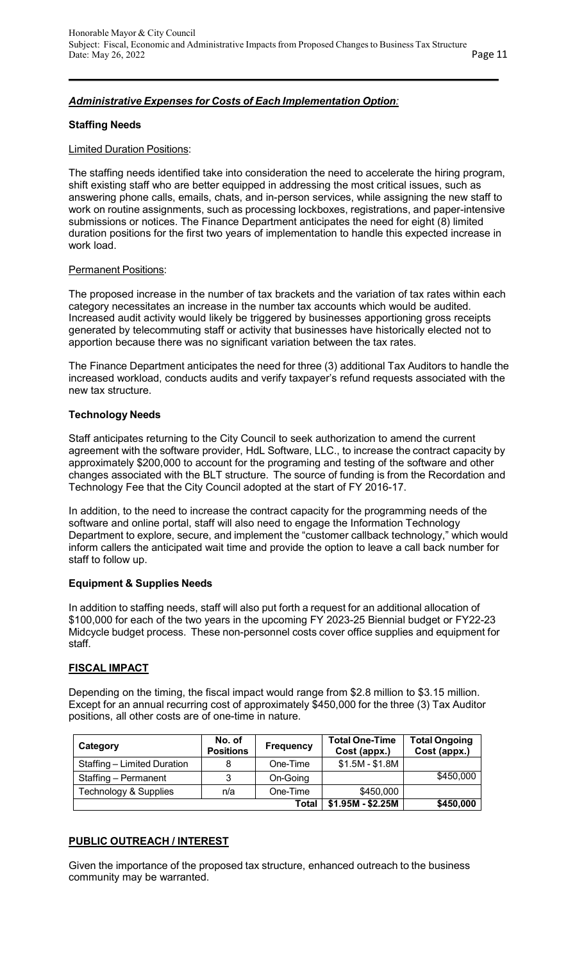# *Administrative Expenses for Costs of Each Implementation Option:*

#### **Staffing Needs**

#### Limited Duration Positions:

The staffing needs identified take into consideration the need to accelerate the hiring program, shift existing staff who are better equipped in addressing the most critical issues, such as answering phone calls, emails, chats, and in-person services, while assigning the new staff to work on routine assignments, such as processing lockboxes, registrations, and paper-intensive submissions or notices. The Finance Department anticipates the need for eight (8) limited duration positions for the first two years of implementation to handle this expected increase in work load.

#### **Permanent Positions:**

The proposed increase in the number of tax brackets and the variation of tax rates within each category necessitates an increase in the number tax accounts which would be audited. Increased audit activity would likely be triggered by businesses apportioning gross receipts generated by telecommuting staff or activity that businesses have historically elected not to apportion because there was no significant variation between the tax rates.

The Finance Department anticipates the need for three (3) additional Tax Auditors to handle the increased workload, conducts audits and verify taxpayer's refund requests associated with the new tax structure.

## **Technology Needs**

Staff anticipates returning to the City Council to seek authorization to amend the current agreement with the software provider, HdL Software, LLC., to increase the contract capacity by approximately \$200,000 to account for the programing and testing of the software and other changes associated with the BLT structure. The source of funding is from the Recordation and Technology Fee that the City Council adopted at the start of FY 2016-17.

In addition, to the need to increase the contract capacity for the programming needs of the software and online portal, staff will also need to engage the Information Technology Department to explore, secure, and implement the "customer callback technology," which would inform callers the anticipated wait time and provide the option to leave a call back number for staff to follow up.

## **Equipment & Supplies Needs**

In addition to staffing needs, staff will also put forth a request for an additional allocation of \$100,000 for each of the two years in the upcoming FY 2023-25 Biennial budget or FY22-23 Midcycle budget process. These non-personnel costs cover office supplies and equipment for staff.

## **FISCAL IMPACT**

Depending on the timing, the fiscal impact would range from \$2.8 million to \$3.15 million. Except for an annual recurring cost of approximately \$450,000 for the three (3) Tax Auditor positions, all other costs are of one-time in nature.

| Category                    | No. of<br><b>Positions</b> | <b>Frequency</b> | <b>Total One-Time</b><br>Cost (appx.) | <b>Total Ongoing</b><br>Cost (appx.) |
|-----------------------------|----------------------------|------------------|---------------------------------------|--------------------------------------|
| Staffing - Limited Duration | 8                          | One-Time         | $$1.5M - $1.8M$                       |                                      |
| Staffing - Permanent        | 3                          | On-Going         |                                       | \$450,000                            |
| Technology & Supplies       | n/a                        | One-Time         | \$450,000                             |                                      |
|                             |                            | Total            | $$1.95M - $2.25M$                     | \$450,000                            |

## **PUBLIC OUTREACH / INTEREST**

Given the importance of the proposed tax structure, enhanced outreach to the business community may be warranted.